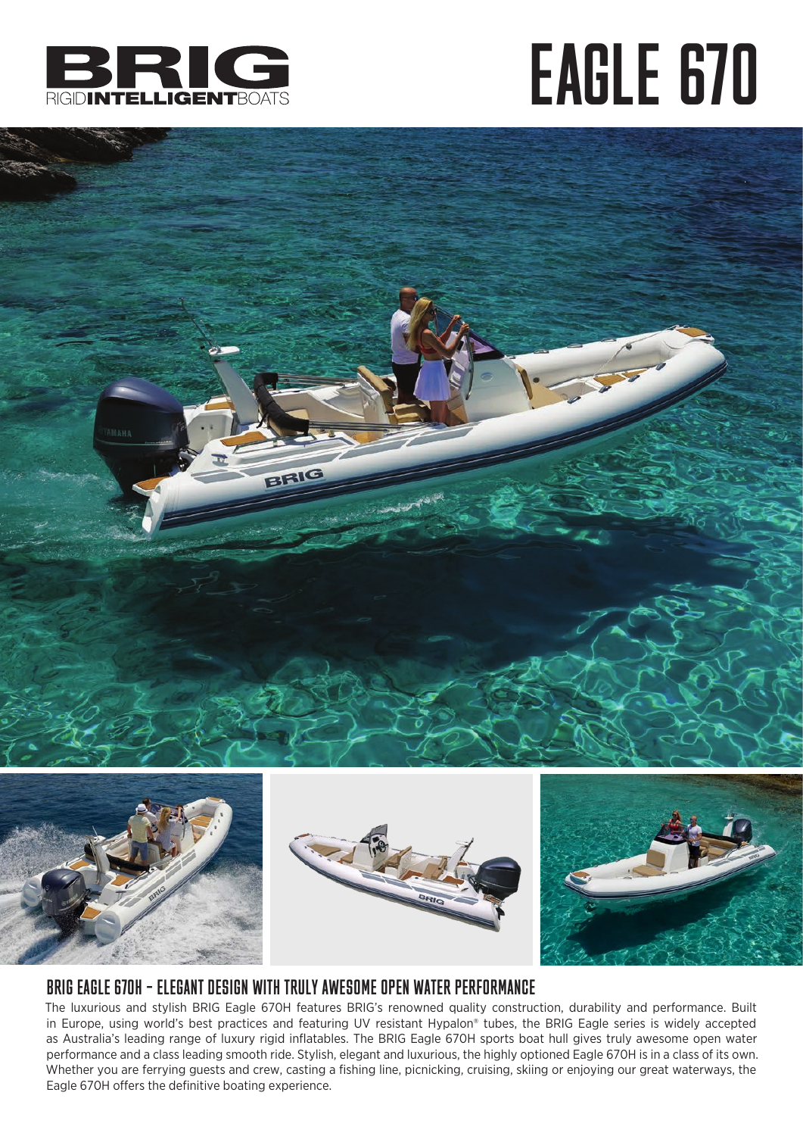

## EAGLE 670





## BRIG EAGLE 670H – ELEGANT DESIGN WITH TRULY AWESOME OPEN WATER PERFORMANCE

The luxurious and stylish BRIG Eagle 670H features BRIG's renowned quality construction, durability and performance. Built in Europe, using world's best practices and featuring UV resistant Hypalon® tubes, the BRIG Eagle series is widely accepted as Australia's leading range of luxury rigid inflatables. The BRIG Eagle 670H sports boat hull gives truly awesome open water performance and a class leading smooth ride. Stylish, elegant and luxurious, the highly optioned Eagle 670H is in a class of its own. Whether you are ferrying guests and crew, casting a fishing line, picnicking, cruising, skiing or enjoying our great waterways, the Eagle 670H offers the definitive boating experience.